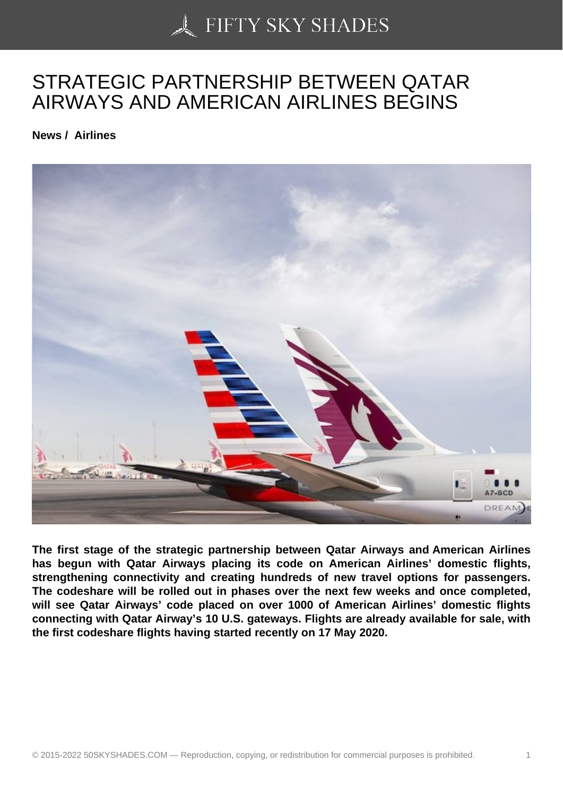## [STRATEGIC PARTNE](https://50skyshades.com)RSHIP BETWEEN QATAR AIRWAYS AND AMERICAN AIRLINES BEGINS

News / Airlines

The first stage of the strategic partnership between Qatar Airways and American Airlines has begun with Qatar Airways placing its code on American Airlines' domestic flights, strengthening connectivity and creating hundreds of new travel options for passengers. The codeshare will be rolled out in phases over the next few weeks and once completed, will see Qatar Airways' code placed on over 1000 of American Airlines' domestic flights connecting with Qatar Airway's 10 U.S. gateways. Flights are already available for sale, with the first codeshare flights having started recently on 17 May 2020.